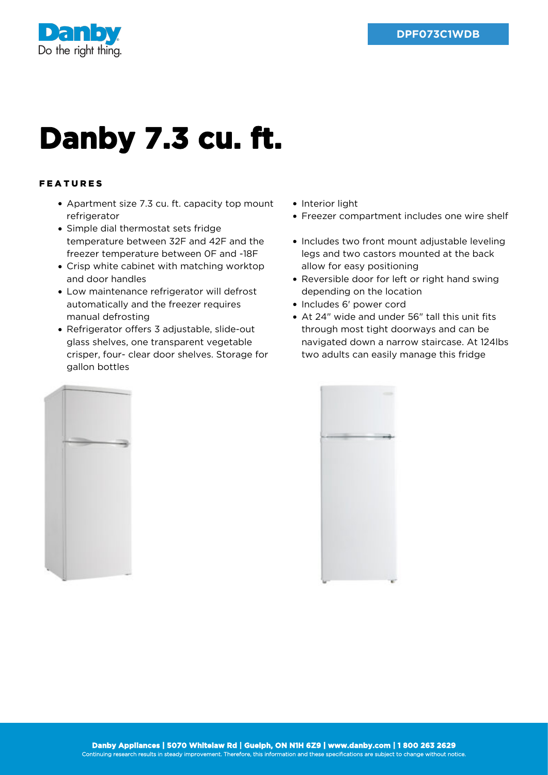

## **Danby 7.3 cu. ft.**

## FEATURES

- Apartment size 7.3 cu. ft. capacity top mount refrigerator
- Simple dial thermostat sets fridge temperature between 32F and 42F and the freezer temperature between 0F and -18F
- Crisp white cabinet with matching worktop and door handles
- Low maintenance refrigerator will defrost automatically and the freezer requires manual defrosting
- Refrigerator offers 3 adjustable, slide-out glass shelves, one transparent vegetable crisper, four- clear door shelves. Storage for gallon bottles
- Interior light
- Freezer compartment includes one wire shelf
- Includes two front mount adjustable leveling legs and two castors mounted at the back allow for easy positioning
- Reversible door for left or right hand swing depending on the location
- Includes 6' power cord
- At 24" wide and under 56" tall this unit fits through most tight doorways and can be navigated down a narrow staircase. At 124lbs two adults can easily manage this fridge